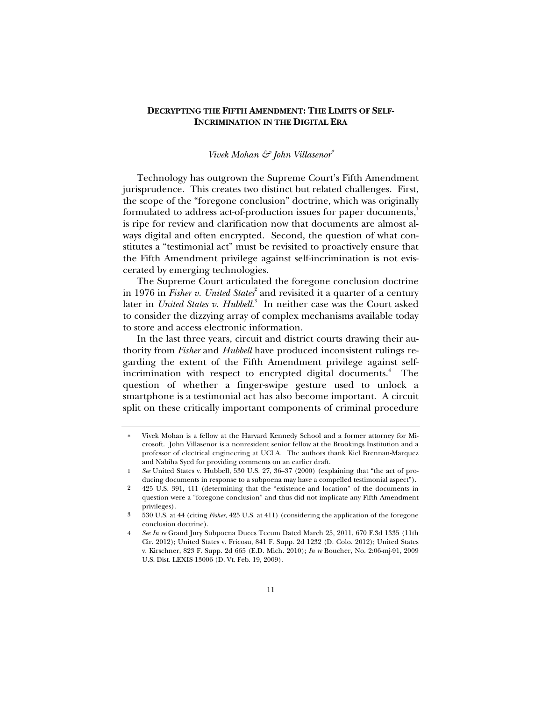# **DECRYPTING THE FIFTH AMENDMENT: THE LIMITS OF SELF-INCRIMINATION IN THE DIGITAL ERA**

## *Vivek Mohan & John Villasenor*<sup>∗</sup>

Technology has outgrown the Supreme Court's Fifth Amendment jurisprudence. This creates two distinct but related challenges. First, the scope of the "foregone conclusion" doctrine, which was originally formulated to address act-of-production issues for paper documents,<sup>1</sup> is ripe for review and clarification now that documents are almost always digital and often encrypted. Second, the question of what constitutes a "testimonial act" must be revisited to proactively ensure that the Fifth Amendment privilege against self-incrimination is not eviscerated by emerging technologies.

The Supreme Court articulated the foregone conclusion doctrine in 1976 in *Fisher v. United States*<sup>2</sup> and revisited it a quarter of a century later in *United States v. Hubbell*. 3 In neither case was the Court asked to consider the dizzying array of complex mechanisms available today to store and access electronic information.

In the last three years, circuit and district courts drawing their authority from *Fisher* and *Hubbell* have produced inconsistent rulings regarding the extent of the Fifth Amendment privilege against selfincrimination with respect to encrypted digital documents.<sup>4</sup> The question of whether a finger-swipe gesture used to unlock a smartphone is a testimonial act has also become important. A circuit split on these critically important components of criminal procedure

<sup>∗</sup> Vivek Mohan is a fellow at the Harvard Kennedy School and a former attorney for Microsoft. John Villasenor is a nonresident senior fellow at the Brookings Institution and a professor of electrical engineering at UCLA. The authors thank Kiel Brennan-Marquez and Nabiha Syed for providing comments on an earlier draft.

<sup>1</sup> *See* United States v. Hubbell, 530 U.S. 27, 36–37 (2000) (explaining that "the act of producing documents in response to a subpoena may have a compelled testimonial aspect").

<sup>2 425</sup> U.S. 391, 411 (determining that the "existence and location" of the documents in question were a "foregone conclusion" and thus did not implicate any Fifth Amendment privileges).

<sup>3 530</sup> U.S. at 44 (citing *Fisher*, 425 U.S. at 411) (considering the application of the foregone conclusion doctrine).

<sup>4</sup> *See In re* Grand Jury Subpoena Duces Tecum Dated March 25, 2011, 670 F.3d 1335 (11th Cir. 2012); United States v. Fricosu, 841 F. Supp. 2d 1232 (D. Colo. 2012); United States v. Kirschner, 823 F. Supp. 2d 665 (E.D. Mich. 2010); *In re* Boucher, No. 2:06-mj-91, 2009 U.S. Dist. LEXIS 13006 (D. Vt. Feb. 19, 2009).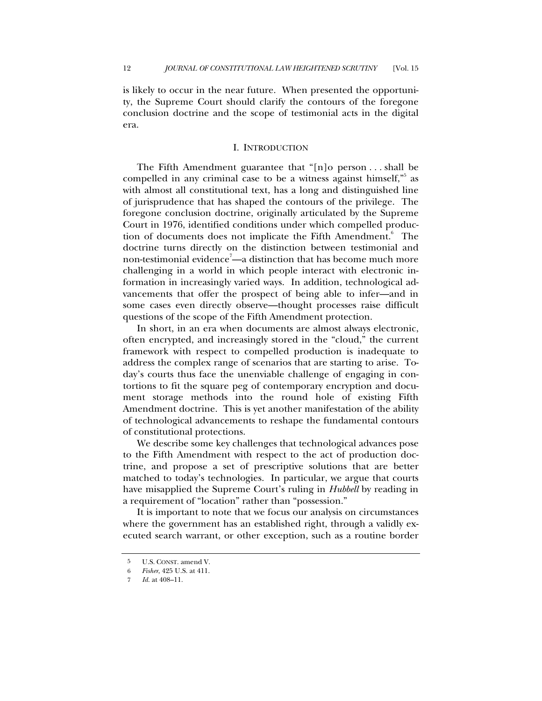is likely to occur in the near future. When presented the opportunity, the Supreme Court should clarify the contours of the foregone conclusion doctrine and the scope of testimonial acts in the digital era.

## I. INTRODUCTION

The Fifth Amendment guarantee that "[n]o person . . . shall be compelled in any criminal case to be a witness against himself,"<sup>5</sup> as with almost all constitutional text, has a long and distinguished line of jurisprudence that has shaped the contours of the privilege. The foregone conclusion doctrine, originally articulated by the Supreme Court in 1976, identified conditions under which compelled production of documents does not implicate the Fifth Amendment.<sup>6</sup> The doctrine turns directly on the distinction between testimonial and non-testimonial evidence<sup>7</sup>—a distinction that has become much more challenging in a world in which people interact with electronic information in increasingly varied ways. In addition, technological advancements that offer the prospect of being able to infer—and in some cases even directly observe—thought processes raise difficult questions of the scope of the Fifth Amendment protection.

In short, in an era when documents are almost always electronic, often encrypted, and increasingly stored in the "cloud," the current framework with respect to compelled production is inadequate to address the complex range of scenarios that are starting to arise. Today's courts thus face the unenviable challenge of engaging in contortions to fit the square peg of contemporary encryption and document storage methods into the round hole of existing Fifth Amendment doctrine. This is yet another manifestation of the ability of technological advancements to reshape the fundamental contours of constitutional protections.

We describe some key challenges that technological advances pose to the Fifth Amendment with respect to the act of production doctrine, and propose a set of prescriptive solutions that are better matched to today's technologies. In particular, we argue that courts have misapplied the Supreme Court's ruling in *Hubbell* by reading in a requirement of "location" rather than "possession."

It is important to note that we focus our analysis on circumstances where the government has an established right, through a validly executed search warrant, or other exception, such as a routine border

<sup>5</sup> U.S. CONST. amend V.

<sup>6</sup> *Fisher*, 425 U.S. at 411.

*Id.* at 408-11.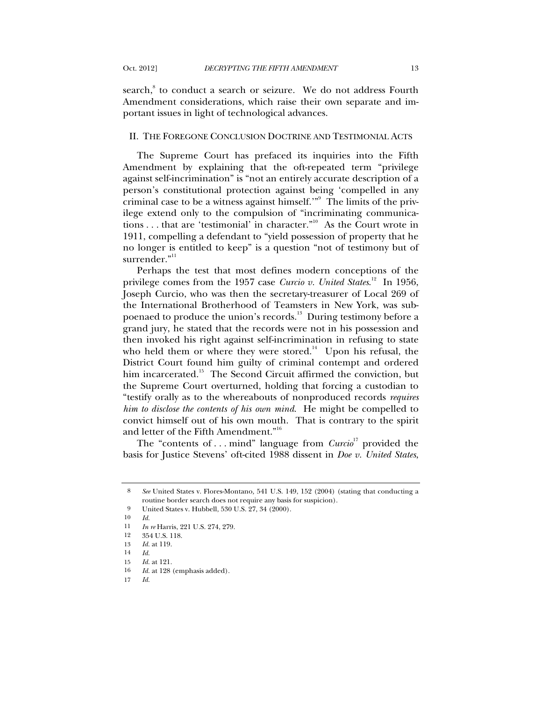search,<sup>8</sup> to conduct a search or seizure. We do not address Fourth Amendment considerations, which raise their own separate and important issues in light of technological advances.

## II. THE FOREGONE CONCLUSION DOCTRINE AND TESTIMONIAL ACTS

The Supreme Court has prefaced its inquiries into the Fifth Amendment by explaining that the oft-repeated term "privilege against self-incrimination" is "not an entirely accurate description of a person's constitutional protection against being 'compelled in any criminal case to be a witness against himself.'"<sup>9</sup> The limits of the privilege extend only to the compulsion of "incriminating communications . . . that are 'testimonial' in character."10 As the Court wrote in 1911, compelling a defendant to "yield possession of property that he no longer is entitled to keep" is a question "not of testimony but of surrender."<sup>11</sup>

Perhaps the test that most defines modern conceptions of the privilege comes from the 1957 case *Curcio v. United States.*<sup>12</sup> In 1956, Joseph Curcio, who was then the secretary-treasurer of Local 269 of the International Brotherhood of Teamsters in New York, was subpoenaed to produce the union's records.<sup>13</sup> During testimony before a grand jury, he stated that the records were not in his possession and then invoked his right against self-incrimination in refusing to state who held them or where they were stored.<sup>14</sup> Upon his refusal, the District Court found him guilty of criminal contempt and ordered him incarcerated.<sup>15</sup> The Second Circuit affirmed the conviction, but the Supreme Court overturned, holding that forcing a custodian to "testify orally as to the whereabouts of nonproduced records *requires him to disclose the contents of his own mind*. He might be compelled to convict himself out of his own mouth. That is contrary to the spirit and letter of the Fifth Amendment."<sup>16</sup>

The "contents of ... mind" language from  $Curvio<sup>17</sup>$  provided the basis for Justice Stevens' oft-cited 1988 dissent in *Doe v. United States*,

<sup>8</sup> *See* United States v. Flores-Montano*,* 541 U.S. 149, 152 (2004) (stating that conducting a routine border search does not require any basis for suspicion).

<sup>9</sup> United States v. Hubbell, 530 U.S. 27, 34 (2000).<br>10  $Id$ 

<sup>10</sup> *Id.*

<sup>11</sup> *In re* Harris, 221 U.S. 274, 279.

<sup>12 354</sup> U.S. 118.

<sup>13</sup> *Id.* at 119.

<sup>14</sup> *Id.*

<sup>15</sup> *Id.* at 121.

<sup>16</sup> *Id.* at 128 (emphasis added).

<sup>17</sup> *Id.*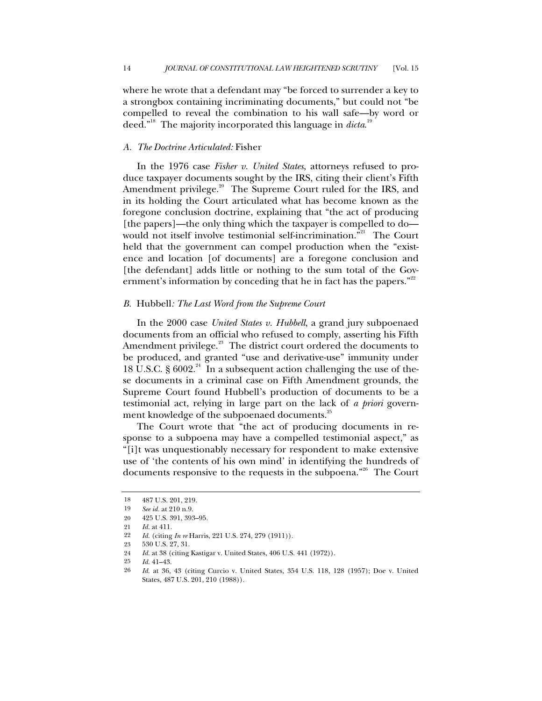where he wrote that a defendant may "be forced to surrender a key to a strongbox containing incriminating documents," but could not "be compelled to reveal the combination to his wall safe—by word or deed."<sup>18</sup> The majority incorporated this language in *dicta*.<sup>19</sup>

### *A. The Doctrine Articulated:* Fisher

In the 1976 case *Fisher v. United States*, attorneys refused to produce taxpayer documents sought by the IRS, citing their client's Fifth Amendment privilege.<sup>20</sup> The Supreme Court ruled for the IRS, and in its holding the Court articulated what has become known as the foregone conclusion doctrine, explaining that "the act of producing [the papers]—the only thing which the taxpayer is compelled to do would not itself involve testimonial self-incrimination.<sup>321</sup> The Court held that the government can compel production when the "existence and location [of documents] are a foregone conclusion and [the defendant] adds little or nothing to the sum total of the Government's information by conceding that he in fact has the papers."<sup>22</sup>

#### *B.* Hubbell*: The Last Word from the Supreme Court*

In the 2000 case *United States v. Hubbell*, a grand jury subpoenaed documents from an official who refused to comply, asserting his Fifth Amendment privilege.<sup>23</sup> The district court ordered the documents to be produced, and granted "use and derivative-use" immunity under 18 U.S.C. §  $6002.^{24}$  In a subsequent action challenging the use of these documents in a criminal case on Fifth Amendment grounds, the Supreme Court found Hubbell's production of documents to be a testimonial act, relying in large part on the lack of *a priori* government knowledge of the subpoenaed documents.<sup>25</sup>

The Court wrote that "the act of producing documents in response to a subpoena may have a compelled testimonial aspect," as "[i]t was unquestionably necessary for respondent to make extensive use of 'the contents of his own mind' in identifying the hundreds of documents responsive to the requests in the subpoena."<sup>26</sup> The Court

<sup>18 487</sup> U.S. 201, 219.

<sup>19</sup> *See id.* at 210 n.9.

<sup>20 425</sup> U.S. 391, 393–95.

<sup>21</sup> *Id.* at 411.

<sup>22</sup> *Id.* (citing *In re* Harris, 221 U.S. 274, 279 (1911)).

<sup>23 530</sup> U.S. 27, 31.

<sup>24</sup> *Id.* at 38 (citing Kastigar v. United States, 406 U.S. 441 (1972)).

<sup>25</sup> *Id.* 41–43.

<sup>26</sup> *Id.* at 36, 43 (citing Curcio v. United States, 354 U.S. 118, 128 (1957); Doe v. United States, 487 U.S. 201, 210 (1988)).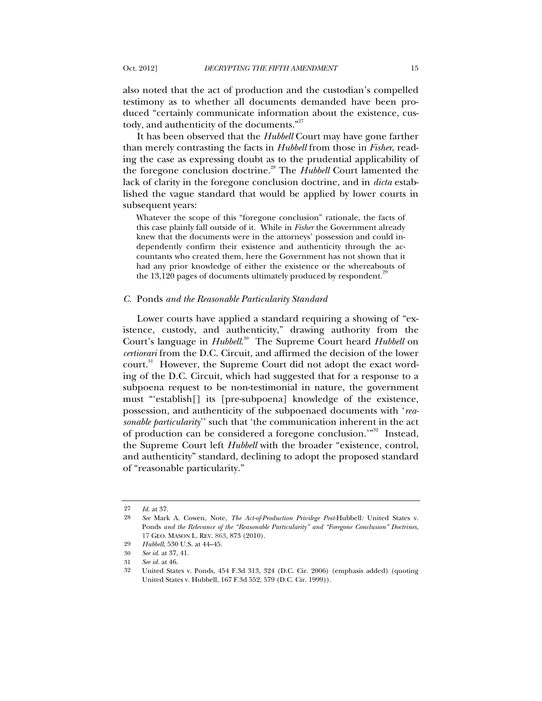also noted that the act of production and the custodian's compelled testimony as to whether all documents demanded have been produced "certainly communicate information about the existence, custody, and authenticity of the documents."<sup>27</sup>

It has been observed that the *Hubbell* Court may have gone farther than merely contrasting the facts in *Hubbell* from those in *Fisher*, reading the case as expressing doubt as to the prudential applicability of the foregone conclusion doctrine.<sup>28</sup> The *Hubbell* Court lamented the lack of clarity in the foregone conclusion doctrine, and in *dicta* established the vague standard that would be applied by lower courts in subsequent years:

Whatever the scope of this "foregone conclusion" rationale, the facts of this case plainly fall outside of it. While in *Fisher* the Government already knew that the documents were in the attorneys' possession and could independently confirm their existence and authenticity through the accountants who created them, here the Government has not shown that it had any prior knowledge of either the existence or the whereabouts of the  $13,120$  pages of documents ultimately produced by respondent.<sup>2</sup>

#### *C.* Ponds *and the Reasonable Particularity Standard*

Lower courts have applied a standard requiring a showing of "existence, custody, and authenticity," drawing authority from the Court's language in *Hubbell*. 30 The Supreme Court heard *Hubbell* on *certiorari* from the D.C. Circuit, and affirmed the decision of the lower court.<sup>31</sup> However, the Supreme Court did not adopt the exact wording of the D.C. Circuit, which had suggested that for a response to a subpoena request to be non-testimonial in nature, the government must "'establish[] its [pre-subpoena] knowledge of the existence, possession, and authenticity of the subpoenaed documents with '*reasonable particularity*'' such that 'the communication inherent in the act of production can be considered a foregone conclusion.'"32 Instead, the Supreme Court left *Hubbell* with the broader "existence, control, and authenticity" standard, declining to adopt the proposed standard of "reasonable particularity."

<sup>27</sup> *Id.* at 37.

<sup>28</sup> *See* Mark A. Cowen, Note, *The Act-of-Production Privilege Post-*Hubbell*:* United States v. Ponds *and the Relevance of the "Reasonable Particularity" and "Foregone Conclusion" Doctrines*, 17 GEO. MASON L. REV. 863, 873 (2010).

<sup>29</sup> *Hubbell*, 530 U.S. at 44–45.

<sup>30</sup> *See id.* at 37, 41.

<sup>31</sup> *See id.* at 46.

<sup>32</sup> United States v. Ponds, 454 F.3d 313, 324 (D.C. Cir. 2006) (emphasis added) (quoting United States v. Hubbell, 167 F.3d 552, 579 (D.C. Cir. 1999)).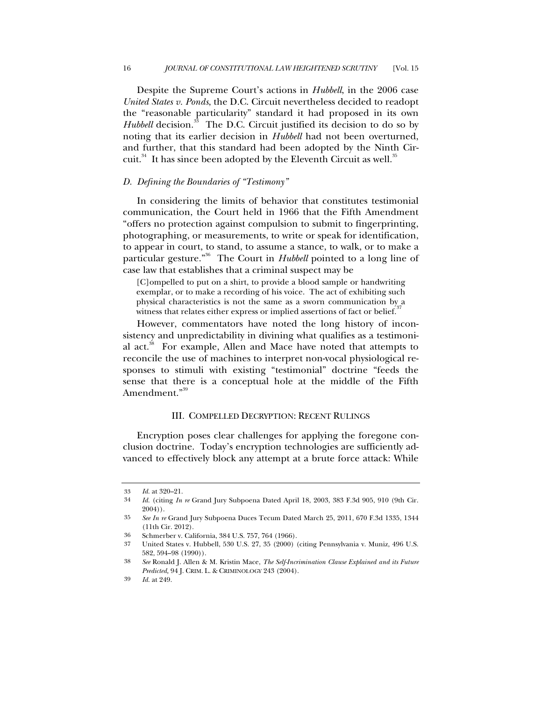Despite the Supreme Court's actions in *Hubbell*, in the 2006 case *United States v. Ponds*, the D.C. Circuit nevertheless decided to readopt the "reasonable particularity" standard it had proposed in its own *Hubbell* decision.<sup>33</sup> The D.C. Circuit justified its decision to do so by noting that its earlier decision in *Hubbell* had not been overturned, and further, that this standard had been adopted by the Ninth Circuit. $34$  It has since been adopted by the Eleventh Circuit as well.<sup>35</sup>

### *D. Defining the Boundaries of "Testimony"*

In considering the limits of behavior that constitutes testimonial communication, the Court held in 1966 that the Fifth Amendment "offers no protection against compulsion to submit to fingerprinting, photographing, or measurements, to write or speak for identification, to appear in court, to stand, to assume a stance, to walk, or to make a particular gesture."36 The Court in *Hubbell* pointed to a long line of case law that establishes that a criminal suspect may be

[C]ompelled to put on a shirt, to provide a blood sample or handwriting exemplar, or to make a recording of his voice. The act of exhibiting such physical characteristics is not the same as a sworn communication by a witness that relates either express or implied assertions of fact or belief.<sup>37</sup>

However, commentators have noted the long history of inconsistency and unpredictability in divining what qualifies as a testimonial act. $38$  For example, Allen and Mace have noted that attempts to reconcile the use of machines to interpret non-vocal physiological responses to stimuli with existing "testimonial" doctrine "feeds the sense that there is a conceptual hole at the middle of the Fifth Amendment<sup>"39</sup>

#### III. COMPELLED DECRYPTION: RECENT RULINGS

Encryption poses clear challenges for applying the foregone conclusion doctrine. Today's encryption technologies are sufficiently advanced to effectively block any attempt at a brute force attack: While

<sup>33</sup> *Id.* at 320–21.

<sup>34</sup> *Id.* (citing *In re* Grand Jury Subpoena Dated April 18, 2003, 383 F.3d 905, 910 (9th Cir. 2004)).

<sup>35</sup> *See In re* Grand Jury Subpoena Duces Tecum Dated March 25, 2011, 670 F.3d 1335, 1344 (11th Cir. 2012).

<sup>36</sup> Schmerber v. California, 384 U.S. 757, 764 (1966).

<sup>37</sup> United States v. Hubbell, 530 U.S. 27, 35 (2000) (citing Pennsylvania v. Muniz, 496 U.S. 582, 594–98 (1990)).

<sup>38</sup> *See* Ronald J. Allen & M. Kristin Mace, *The Self-Incrimination Clause Explained and its Future Predicted,* 94 J. CRIM. L. & CRIMINOLOGY 243 (2004).

<sup>39</sup> *Id.* at 249.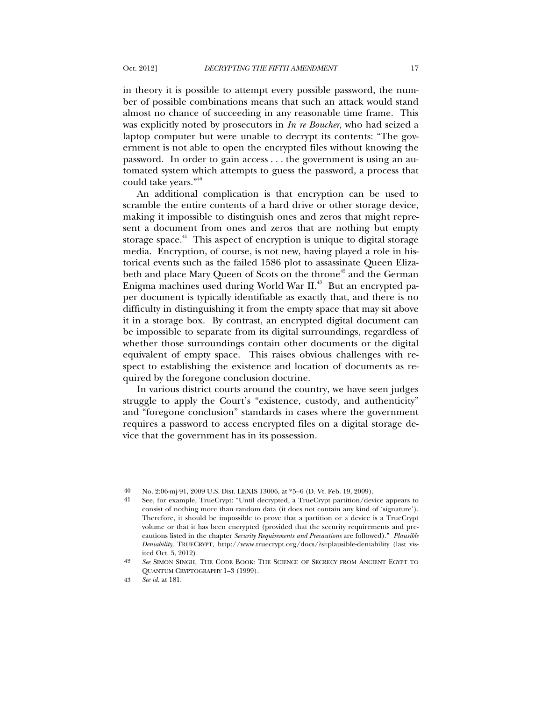in theory it is possible to attempt every possible password, the number of possible combinations means that such an attack would stand almost no chance of succeeding in any reasonable time frame. This was explicitly noted by prosecutors in *In re Boucher*, who had seized a laptop computer but were unable to decrypt its contents: "The government is not able to open the encrypted files without knowing the password. In order to gain access . . . the government is using an automated system which attempts to guess the password, a process that could take years."40

An additional complication is that encryption can be used to scramble the entire contents of a hard drive or other storage device, making it impossible to distinguish ones and zeros that might represent a document from ones and zeros that are nothing but empty storage space.<sup>41</sup> This aspect of encryption is unique to digital storage media. Encryption, of course, is not new, having played a role in historical events such as the failed 1586 plot to assassinate Queen Elizabeth and place Mary Queen of Scots on the throne<sup>42</sup> and the German Enigma machines used during World War II.<sup>43</sup> But an encrypted paper document is typically identifiable as exactly that, and there is no difficulty in distinguishing it from the empty space that may sit above it in a storage box. By contrast, an encrypted digital document can be impossible to separate from its digital surroundings, regardless of whether those surroundings contain other documents or the digital equivalent of empty space. This raises obvious challenges with respect to establishing the existence and location of documents as required by the foregone conclusion doctrine.

In various district courts around the country, we have seen judges struggle to apply the Court's "existence, custody, and authenticity" and "foregone conclusion" standards in cases where the government requires a password to access encrypted files on a digital storage device that the government has in its possession.

<sup>40</sup> No. 2:06-mj-91, 2009 U.S. Dist. LEXIS 13006, at \*5–6 (D. Vt. Feb. 19, 2009).

<sup>41</sup> See, for example, TrueCrypt: "Until decrypted, a TrueCrypt partition/device appears to consist of nothing more than random data (it does not contain any kind of 'signature'). Therefore, it should be impossible to prove that a partition or a device is a TrueCrypt volume or that it has been encrypted (provided that the security requirements and precautions listed in the chapter *Security Requirements and Precautions* are followed)." *Plausible Deniability*, TRUECRYPT, http://www.truecrypt.org/docs/?s=plausible-deniability (last visited Oct. 5, 2012).

<sup>42</sup> *See* SIMON SINGH, THE CODE BOOK: THE SCIENCE OF SECRECY FROM ANCIENT EGYPT TO QUANTUM CRYPTOGRAPHY 1–3 (1999).

<sup>43</sup> *See id.* at 181.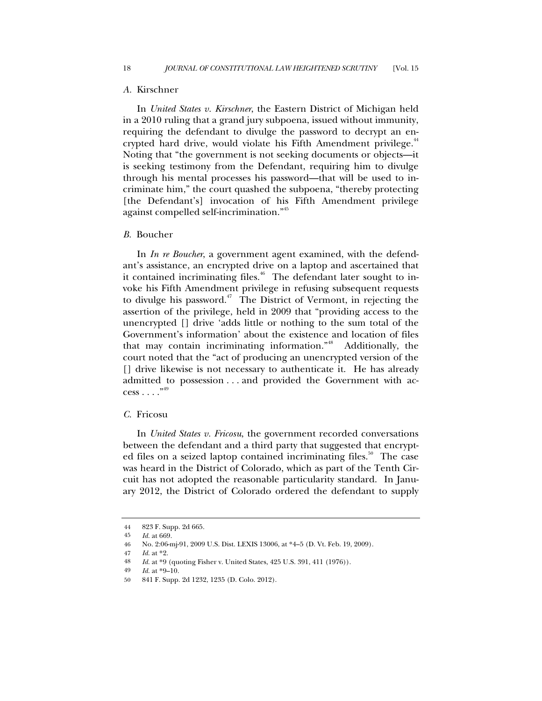#### *A.* Kirschner

In *United States v. Kirschner*, the Eastern District of Michigan held in a 2010 ruling that a grand jury subpoena, issued without immunity, requiring the defendant to divulge the password to decrypt an encrypted hard drive, would violate his Fifth Amendment privilege.<sup>44</sup> Noting that "the government is not seeking documents or objects—it is seeking testimony from the Defendant, requiring him to divulge through his mental processes his password—that will be used to incriminate him," the court quashed the subpoena, "thereby protecting [the Defendant's] invocation of his Fifth Amendment privilege against compelled self-incrimination."<sup>45</sup>

#### *B.* Boucher

In *In re Boucher*, a government agent examined, with the defendant's assistance, an encrypted drive on a laptop and ascertained that it contained incriminating files.<sup>46</sup> The defendant later sought to invoke his Fifth Amendment privilege in refusing subsequent requests to divulge his password.<sup>47</sup> The District of Vermont, in rejecting the assertion of the privilege, held in 2009 that "providing access to the unencrypted [] drive 'adds little or nothing to the sum total of the Government's information' about the existence and location of files that may contain incriminating information."<sup>48</sup> Additionally, the court noted that the "act of producing an unencrypted version of the [] drive likewise is not necessary to authenticate it. He has already admitted to possession . . . and provided the Government with ac $cess \dots$ ."

# *C.* Fricosu

In *United States v. Fricosu*, the government recorded conversations between the defendant and a third party that suggested that encrypted files on a seized laptop contained incriminating files.<sup>50</sup> The case was heard in the District of Colorado, which as part of the Tenth Circuit has not adopted the reasonable particularity standard. In January 2012, the District of Colorado ordered the defendant to supply

<sup>44 823</sup> F. Supp. 2d 665.<br>45 *Id at* 669

*Id.* at 669.

<sup>46</sup> No. 2:06-mj-91, 2009 U.S. Dist. LEXIS 13006, at \*4–5 (D. Vt. Feb. 19, 2009).

<sup>47</sup> *Id.* at \*2.

<sup>48</sup> *Id.* at \*9 (quoting Fisher v. United States, 425 U.S. 391, 411 (1976)).<br>49 *Id.* at \*9–10

*Id.* at  $*9-10$ .

<sup>50 841</sup> F. Supp. 2d 1232, 1235 (D. Colo. 2012).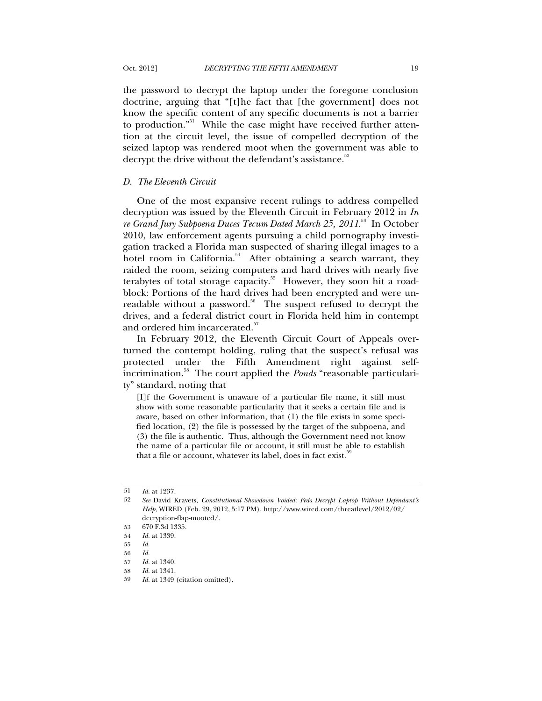the password to decrypt the laptop under the foregone conclusion doctrine, arguing that "[t]he fact that [the government] does not know the specific content of any specific documents is not a barrier to production."<sup>51</sup> While the case might have received further attention at the circuit level, the issue of compelled decryption of the seized laptop was rendered moot when the government was able to decrypt the drive without the defendant's assistance.<sup>52</sup>

## *D. The Eleventh Circuit*

One of the most expansive recent rulings to address compelled decryption was issued by the Eleventh Circuit in February 2012 in *In re Grand Jury Subpoena Duces Tecum Dated March 25, 2011*. 53 In October 2010, law enforcement agents pursuing a child pornography investigation tracked a Florida man suspected of sharing illegal images to a hotel room in California.<sup>54</sup> After obtaining a search warrant, they raided the room, seizing computers and hard drives with nearly five terabytes of total storage capacity.<sup>55</sup> However, they soon hit a roadblock: Portions of the hard drives had been encrypted and were unreadable without a password.<sup>56</sup> The suspect refused to decrypt the drives, and a federal district court in Florida held him in contempt and ordered him incarcerated.<sup>57</sup>

In February 2012, the Eleventh Circuit Court of Appeals overturned the contempt holding, ruling that the suspect's refusal was protected under the Fifth Amendment right against selfincrimination.58 The court applied the *Ponds* "reasonable particularity" standard, noting that

[I]f the Government is unaware of a particular file name, it still must show with some reasonable particularity that it seeks a certain file and is aware, based on other information, that (1) the file exists in some specified location, (2) the file is possessed by the target of the subpoena, and (3) the file is authentic. Thus, although the Government need not know the name of a particular file or account, it still must be able to establish that a file or account, whatever its label, does in fact exist.

<sup>51</sup> *Id.* at 1237.

<sup>52</sup> *See* David Kravets, *Constitutional Showdown Voided: Feds Decrypt Laptop Without Defendant's Help*, WIRED (Feb. 29, 2012, 5:17 PM), http://www.wired.com/threatlevel/2012/02/ decryption-flap-mooted/.

 <sup>53 670</sup> F.3d 1335.

 <sup>54</sup> *Id.* at 1339.

<sup>55</sup> *Id.*

<sup>56</sup> *Id.*

 <sup>57</sup> *Id.* at 1340.

<sup>58</sup> *Id.* at 1341.

<sup>59</sup> *Id.* at 1349 (citation omitted).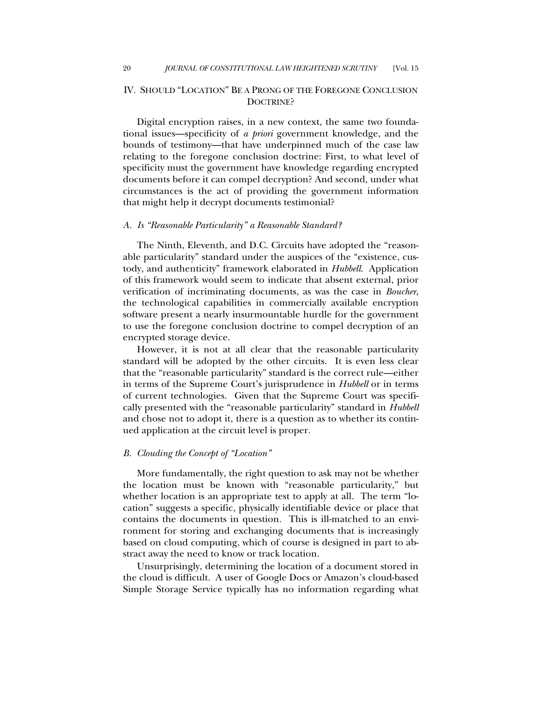# IV. SHOULD "LOCATION" BE A PRONG OF THE FOREGONE CONCLUSION DOCTRINE?

Digital encryption raises, in a new context, the same two foundational issues—specificity of *a priori* government knowledge, and the bounds of testimony—that have underpinned much of the case law relating to the foregone conclusion doctrine: First, to what level of specificity must the government have knowledge regarding encrypted documents before it can compel decryption? And second, under what circumstances is the act of providing the government information that might help it decrypt documents testimonial?

### *A. Is "Reasonable Particularity" a Reasonable Standard?*

The Ninth, Eleventh, and D.C. Circuits have adopted the "reasonable particularity" standard under the auspices of the "existence, custody, and authenticity" framework elaborated in *Hubbell*. Application of this framework would seem to indicate that absent external, prior verification of incriminating documents, as was the case in *Boucher*, the technological capabilities in commercially available encryption software present a nearly insurmountable hurdle for the government to use the foregone conclusion doctrine to compel decryption of an encrypted storage device.

However, it is not at all clear that the reasonable particularity standard will be adopted by the other circuits. It is even less clear that the "reasonable particularity" standard is the correct rule—either in terms of the Supreme Court's jurisprudence in *Hubbell* or in terms of current technologies. Given that the Supreme Court was specifically presented with the "reasonable particularity" standard in *Hubbell* and chose not to adopt it, there is a question as to whether its continued application at the circuit level is proper.

## *B. Clouding the Concept of "Location"*

More fundamentally, the right question to ask may not be whether the location must be known with "reasonable particularity," but whether location is an appropriate test to apply at all. The term "location" suggests a specific, physically identifiable device or place that contains the documents in question. This is ill-matched to an environment for storing and exchanging documents that is increasingly based on cloud computing, which of course is designed in part to abstract away the need to know or track location.

Unsurprisingly, determining the location of a document stored in the cloud is difficult. A user of Google Docs or Amazon's cloud-based Simple Storage Service typically has no information regarding what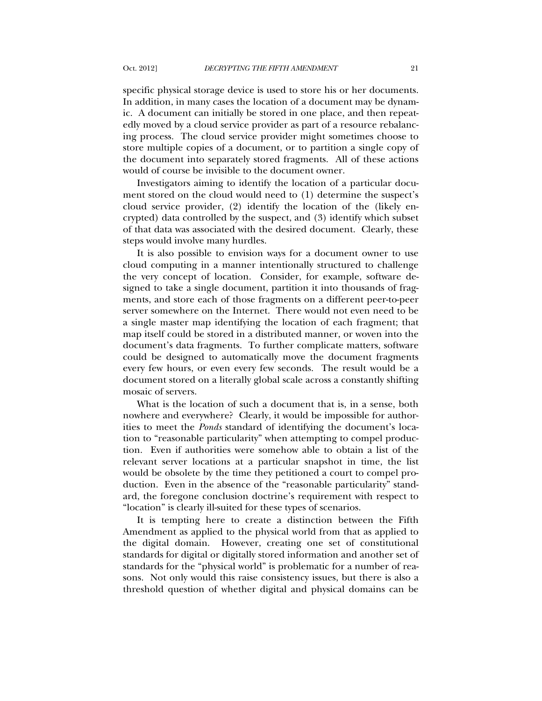specific physical storage device is used to store his or her documents. In addition, in many cases the location of a document may be dynamic. A document can initially be stored in one place, and then repeatedly moved by a cloud service provider as part of a resource rebalancing process. The cloud service provider might sometimes choose to store multiple copies of a document, or to partition a single copy of the document into separately stored fragments. All of these actions would of course be invisible to the document owner.

Investigators aiming to identify the location of a particular document stored on the cloud would need to (1) determine the suspect's cloud service provider, (2) identify the location of the (likely encrypted) data controlled by the suspect, and (3) identify which subset of that data was associated with the desired document. Clearly, these steps would involve many hurdles.

It is also possible to envision ways for a document owner to use cloud computing in a manner intentionally structured to challenge the very concept of location. Consider, for example, software designed to take a single document, partition it into thousands of fragments, and store each of those fragments on a different peer-to-peer server somewhere on the Internet. There would not even need to be a single master map identifying the location of each fragment; that map itself could be stored in a distributed manner, or woven into the document's data fragments. To further complicate matters, software could be designed to automatically move the document fragments every few hours, or even every few seconds. The result would be a document stored on a literally global scale across a constantly shifting mosaic of servers.

What is the location of such a document that is, in a sense, both nowhere and everywhere? Clearly, it would be impossible for authorities to meet the *Ponds* standard of identifying the document's location to "reasonable particularity" when attempting to compel production. Even if authorities were somehow able to obtain a list of the relevant server locations at a particular snapshot in time, the list would be obsolete by the time they petitioned a court to compel production. Even in the absence of the "reasonable particularity" standard, the foregone conclusion doctrine's requirement with respect to "location" is clearly ill-suited for these types of scenarios.

It is tempting here to create a distinction between the Fifth Amendment as applied to the physical world from that as applied to the digital domain. However, creating one set of constitutional standards for digital or digitally stored information and another set of standards for the "physical world" is problematic for a number of reasons. Not only would this raise consistency issues, but there is also a threshold question of whether digital and physical domains can be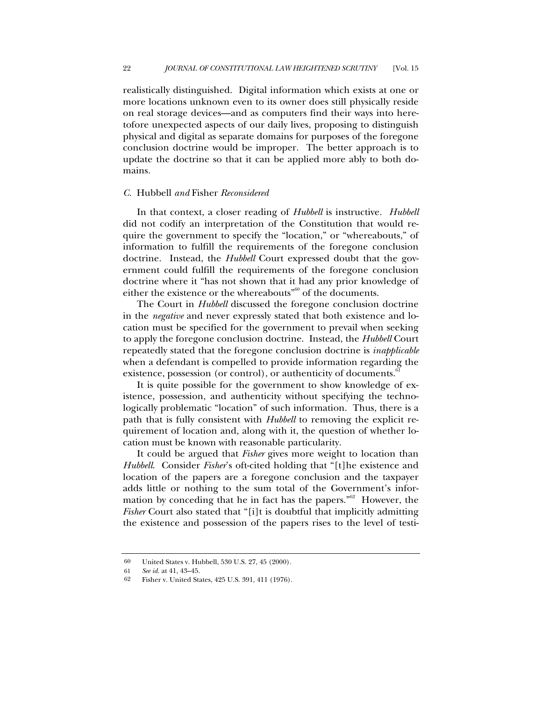realistically distinguished. Digital information which exists at one or more locations unknown even to its owner does still physically reside on real storage devices—and as computers find their ways into heretofore unexpected aspects of our daily lives, proposing to distinguish physical and digital as separate domains for purposes of the foregone conclusion doctrine would be improper. The better approach is to update the doctrine so that it can be applied more ably to both domains.

#### *C.* Hubbell *and* Fisher *Reconsidered*

In that context, a closer reading of *Hubbell* is instructive. *Hubbell* did not codify an interpretation of the Constitution that would require the government to specify the "location," or "whereabouts," of information to fulfill the requirements of the foregone conclusion doctrine. Instead, the *Hubbell* Court expressed doubt that the government could fulfill the requirements of the foregone conclusion doctrine where it "has not shown that it had any prior knowledge of either the existence or the whereabouts<sup>"60</sup> of the documents.

The Court in *Hubbell* discussed the foregone conclusion doctrine in the *negative* and never expressly stated that both existence and location must be specified for the government to prevail when seeking to apply the foregone conclusion doctrine. Instead, the *Hubbell* Court repeatedly stated that the foregone conclusion doctrine is *inapplicable* when a defendant is compelled to provide information regarding the existence, possession (or control), or authenticity of documents.<sup>6</sup>

It is quite possible for the government to show knowledge of existence, possession, and authenticity without specifying the technologically problematic "location" of such information. Thus, there is a path that is fully consistent with *Hubbell* to removing the explicit requirement of location and, along with it, the question of whether location must be known with reasonable particularity.

It could be argued that *Fisher* gives more weight to location than *Hubbell*. Consider *Fisher*'s oft-cited holding that "[t]he existence and location of the papers are a foregone conclusion and the taxpayer adds little or nothing to the sum total of the Government's information by conceding that he in fact has the papers."62 However, the *Fisher* Court also stated that "[i]t is doubtful that implicitly admitting the existence and possession of the papers rises to the level of testi-

<sup>60</sup> United States v. Hubbell, 530 U.S. 27, 45 (2000).

<sup>61</sup> *See id.* at 41, 43–45.

<sup>62</sup> Fisher v. United States, 425 U.S. 391, 411 (1976).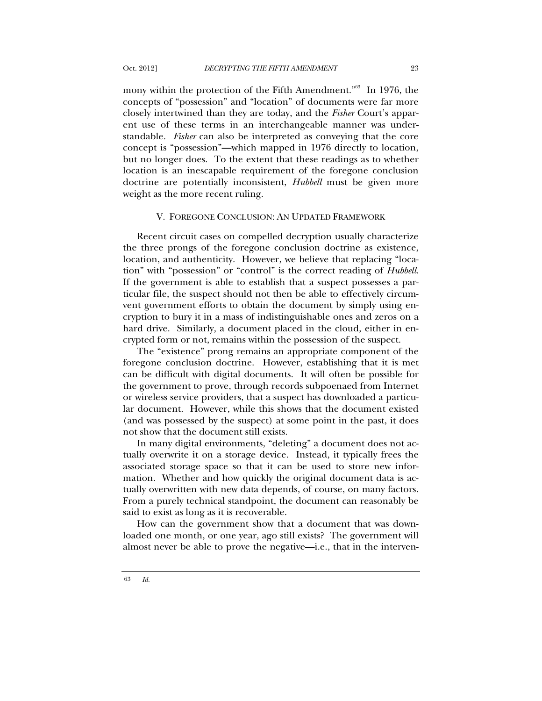mony within the protection of the Fifth Amendment.<sup>"63</sup> In 1976, the concepts of "possession" and "location" of documents were far more closely intertwined than they are today, and the *Fisher* Court's apparent use of these terms in an interchangeable manner was understandable. *Fisher* can also be interpreted as conveying that the core concept is "possession"—which mapped in 1976 directly to location, but no longer does. To the extent that these readings as to whether location is an inescapable requirement of the foregone conclusion doctrine are potentially inconsistent, *Hubbell* must be given more weight as the more recent ruling.

#### V. FOREGONE CONCLUSION: AN UPDATED FRAMEWORK

Recent circuit cases on compelled decryption usually characterize the three prongs of the foregone conclusion doctrine as existence, location, and authenticity. However, we believe that replacing "location" with "possession" or "control" is the correct reading of *Hubbell*. If the government is able to establish that a suspect possesses a particular file, the suspect should not then be able to effectively circumvent government efforts to obtain the document by simply using encryption to bury it in a mass of indistinguishable ones and zeros on a hard drive. Similarly, a document placed in the cloud, either in encrypted form or not, remains within the possession of the suspect.

The "existence" prong remains an appropriate component of the foregone conclusion doctrine. However, establishing that it is met can be difficult with digital documents. It will often be possible for the government to prove, through records subpoenaed from Internet or wireless service providers, that a suspect has downloaded a particular document. However, while this shows that the document existed (and was possessed by the suspect) at some point in the past, it does not show that the document still exists.

In many digital environments, "deleting" a document does not actually overwrite it on a storage device. Instead, it typically frees the associated storage space so that it can be used to store new information. Whether and how quickly the original document data is actually overwritten with new data depends, of course, on many factors. From a purely technical standpoint, the document can reasonably be said to exist as long as it is recoverable.

How can the government show that a document that was downloaded one month, or one year, ago still exists? The government will almost never be able to prove the negative—i.e., that in the interven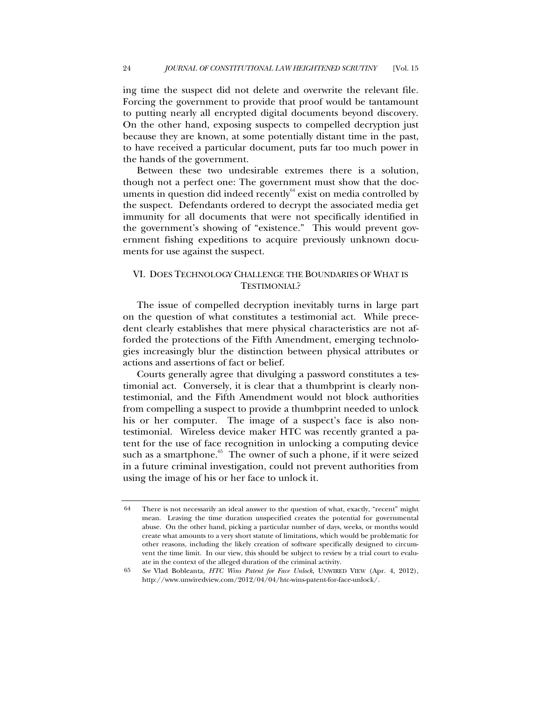ing time the suspect did not delete and overwrite the relevant file. Forcing the government to provide that proof would be tantamount to putting nearly all encrypted digital documents beyond discovery. On the other hand, exposing suspects to compelled decryption just because they are known, at some potentially distant time in the past, to have received a particular document, puts far too much power in the hands of the government.

Between these two undesirable extremes there is a solution, though not a perfect one: The government must show that the documents in question did indeed recently $64$  exist on media controlled by the suspect. Defendants ordered to decrypt the associated media get immunity for all documents that were not specifically identified in the government's showing of "existence." This would prevent government fishing expeditions to acquire previously unknown documents for use against the suspect.

# VI. DOES TECHNOLOGY CHALLENGE THE BOUNDARIES OF WHAT IS TESTIMONIAL?

The issue of compelled decryption inevitably turns in large part on the question of what constitutes a testimonial act. While precedent clearly establishes that mere physical characteristics are not afforded the protections of the Fifth Amendment, emerging technologies increasingly blur the distinction between physical attributes or actions and assertions of fact or belief.

Courts generally agree that divulging a password constitutes a testimonial act. Conversely, it is clear that a thumbprint is clearly nontestimonial, and the Fifth Amendment would not block authorities from compelling a suspect to provide a thumbprint needed to unlock his or her computer. The image of a suspect's face is also nontestimonial. Wireless device maker HTC was recently granted a patent for the use of face recognition in unlocking a computing device such as a smartphone.<sup>65</sup> The owner of such a phone, if it were seized in a future criminal investigation, could not prevent authorities from using the image of his or her face to unlock it.

<sup>64</sup> There is not necessarily an ideal answer to the question of what, exactly, "recent" might mean. Leaving the time duration unspecified creates the potential for governmental abuse. On the other hand, picking a particular number of days, weeks, or months would create what amounts to a very short statute of limitations, which would be problematic for other reasons, including the likely creation of software specifically designed to circumvent the time limit. In our view, this should be subject to review by a trial court to evaluate in the context of the alleged duration of the criminal activity.

<sup>65</sup> *See* Vlad Bobleanta, *HTC Wins Patent for Face Unlock*, UNWIRED VIEW (Apr. 4, 2012), http://www.unwiredview.com/2012/04/04/htc-wins-patent-for-face-unlock/.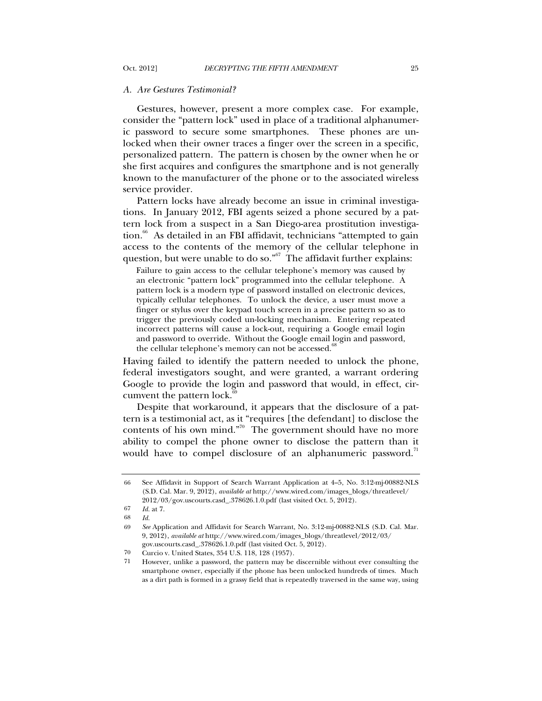#### *A. Are Gestures Testimonial?*

Gestures, however, present a more complex case. For example, consider the "pattern lock" used in place of a traditional alphanumeric password to secure some smartphones. These phones are unlocked when their owner traces a finger over the screen in a specific, personalized pattern. The pattern is chosen by the owner when he or she first acquires and configures the smartphone and is not generally known to the manufacturer of the phone or to the associated wireless service provider.

Pattern locks have already become an issue in criminal investigations. In January 2012, FBI agents seized a phone secured by a pattern lock from a suspect in a San Diego-area prostitution investigation.<sup>66</sup> As detailed in an FBI affidavit, technicians "attempted to gain access to the contents of the memory of the cellular telephone in question, but were unable to do so."<sup>67</sup> The affidavit further explains:

Failure to gain access to the cellular telephone's memory was caused by an electronic "pattern lock" programmed into the cellular telephone. A pattern lock is a modern type of password installed on electronic devices, typically cellular telephones. To unlock the device, a user must move a finger or stylus over the keypad touch screen in a precise pattern so as to trigger the previously coded un-locking mechanism. Entering repeated incorrect patterns will cause a lock-out, requiring a Google email login and password to override. Without the Google email login and password, the cellular telephone's memory can not be accessed.<sup>88</sup>

Having failed to identify the pattern needed to unlock the phone, federal investigators sought, and were granted, a warrant ordering Google to provide the login and password that would, in effect, circumvent the pattern lock. $69$ 

Despite that workaround, it appears that the disclosure of a pattern is a testimonial act, as it "requires [the defendant] to disclose the contents of his own mind."<sup>70</sup> The government should have no more ability to compel the phone owner to disclose the pattern than it would have to compel disclosure of an alphanumeric password.<sup>11</sup>

 <sup>66</sup> See Affidavit in Support of Search Warrant Application at 4–5, No. 3:12-mj-00882-NLS (S.D. Cal. Mar. 9, 2012), *available at* http://www.wired.com/images\_blogs/threatlevel/ 2012/03/gov.uscourts.casd\_.378626.1.0.pdf (last visited Oct. 5, 2012).

<sup>67</sup> *Id.* at 7.

<sup>68</sup> *Id.*

<sup>69</sup> *See* Application and Affidavit for Search Warrant, No. 3:12-mj-00882-NLS (S.D. Cal. Mar. 9, 2012), *available at* http://www.wired.com/images\_blogs/threatlevel/2012/03/ gov.uscourts.casd\_.378626.1.0.pdf (last visited Oct. 5, 2012).

<sup>70</sup> Curcio v. United States, 354 U.S. 118, 128 (1957).

<sup>71</sup> However, unlike a password, the pattern may be discernible without ever consulting the smartphone owner, especially if the phone has been unlocked hundreds of times. Much as a dirt path is formed in a grassy field that is repeatedly traversed in the same way, using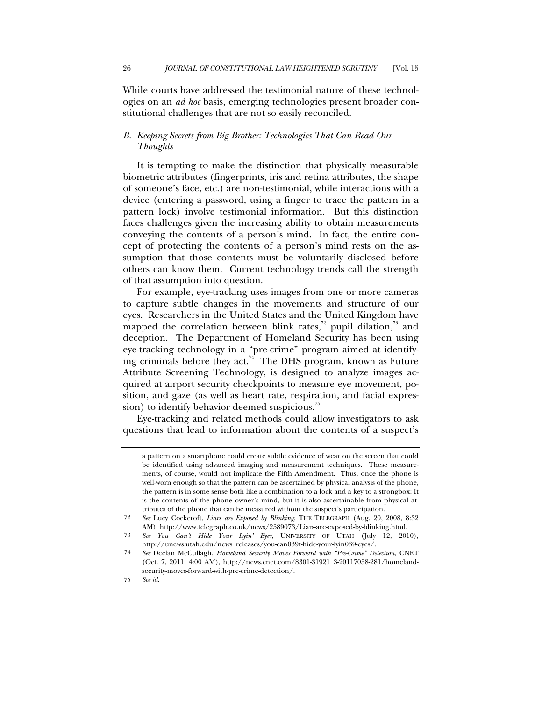While courts have addressed the testimonial nature of these technologies on an *ad hoc* basis, emerging technologies present broader constitutional challenges that are not so easily reconciled.

# *B. Keeping Secrets from Big Brother: Technologies That Can Read Our Thoughts*

It is tempting to make the distinction that physically measurable biometric attributes (fingerprints, iris and retina attributes, the shape of someone's face, etc.) are non-testimonial, while interactions with a device (entering a password, using a finger to trace the pattern in a pattern lock) involve testimonial information. But this distinction faces challenges given the increasing ability to obtain measurements conveying the contents of a person's mind. In fact, the entire concept of protecting the contents of a person's mind rests on the assumption that those contents must be voluntarily disclosed before others can know them. Current technology trends call the strength of that assumption into question.

For example, eye-tracking uses images from one or more cameras to capture subtle changes in the movements and structure of our eyes. Researchers in the United States and the United Kingdom have mapped the correlation between blink rates,<sup> $72$ </sup> pupil dilation, $73$  and deception. The Department of Homeland Security has been using eye-tracking technology in a "pre-crime" program aimed at identifying criminals before they act.<sup>74</sup> The DHS program, known as Future Attribute Screening Technology, is designed to analyze images acquired at airport security checkpoints to measure eye movement, position, and gaze (as well as heart rate, respiration, and facial expression) to identify behavior deemed suspicious. $\mathbb{S}^5$ 

Eye-tracking and related methods could allow investigators to ask questions that lead to information about the contents of a suspect's

a pattern on a smartphone could create subtle evidence of wear on the screen that could be identified using advanced imaging and measurement techniques. These measurements, of course, would not implicate the Fifth Amendment. Thus, once the phone is well-worn enough so that the pattern can be ascertained by physical analysis of the phone, the pattern is in some sense both like a combination to a lock and a key to a strongbox: It is the contents of the phone owner's mind, but it is also ascertainable from physical attributes of the phone that can be measured without the suspect's participation.

<sup>72</sup> *See* Lucy Cockcroft, *Liars are Exposed by Blinking*, THE TELEGRAPH (Aug. 20, 2008, 8:32 AM), http://www.telegraph.co.uk/news/2589073/Liars-are-exposed-by-blinking.html.

<sup>73</sup> *See You Can't Hide Your Lyin' Eyes*, UNIVERSITY OF UTAH (July 12, 2010), http://unews.utah.edu/news\_releases/you-can039t-hide-your-lyin039-eyes/.

<sup>74</sup> *See* Declan McCullagh, *Homeland Security Moves Forward with "Pre-Crime" Detection*, CNET (Oct. 7, 2011, 4:00 AM), http://news.cnet.com/8301-31921\_3-20117058-281/homelandsecurity-moves-forward-with-pre-crime-detection/.

<sup>75</sup> *See id.*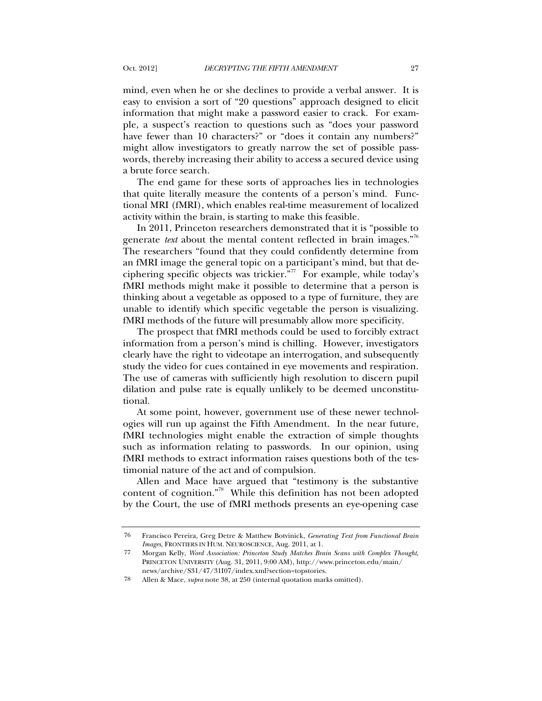mind, even when he or she declines to provide a verbal answer. It is easy to envision a sort of "20 questions" approach designed to elicit information that might make a password easier to crack. For example, a suspect's reaction to questions such as "does your password have fewer than 10 characters?" or "does it contain any numbers?" might allow investigators to greatly narrow the set of possible passwords, thereby increasing their ability to access a secured device using a brute force search.

The end game for these sorts of approaches lies in technologies that quite literally measure the contents of a person's mind. Functional MRI (fMRI), which enables real-time measurement of localized activity within the brain, is starting to make this feasible.

In 2011, Princeton researchers demonstrated that it is "possible to generate *text* about the mental content reflected in brain images."76 The researchers "found that they could confidently determine from an fMRI image the general topic on a participant's mind, but that deciphering specific objects was trickier."77 For example, while today's fMRI methods might make it possible to determine that a person is thinking about a vegetable as opposed to a type of furniture, they are unable to identify which specific vegetable the person is visualizing. fMRI methods of the future will presumably allow more specificity.

The prospect that fMRI methods could be used to forcibly extract information from a person's mind is chilling. However, investigators clearly have the right to videotape an interrogation, and subsequently study the video for cues contained in eye movements and respiration. The use of cameras with sufficiently high resolution to discern pupil dilation and pulse rate is equally unlikely to be deemed unconstitutional.

At some point, however, government use of these newer technologies will run up against the Fifth Amendment. In the near future, fMRI technologies might enable the extraction of simple thoughts such as information relating to passwords. In our opinion, using fMRI methods to extract information raises questions both of the testimonial nature of the act and of compulsion.

Allen and Mace have argued that "testimony is the substantive content of cognition."78 While this definition has not been adopted by the Court, the use of fMRI methods presents an eye-opening case

<sup>76</sup> Francisco Pereira, Greg Detre & Matthew Botvinick, *Generating Text from Functional Brain Images*, FRONTIERS IN HUM. NEUROSCIENCE, Aug. 2011, at 1.

<sup>77</sup> Morgan Kelly, *Word Association: Princeton Study Matches Brain Scans with Complex Thought*, PRINCETON UNIVERSITY (Aug. 31, 2011, 9:00 AM), http://www.princeton.edu/main/ news/archive/S31/47/31I07/index.xml?section=topstories.

<sup>78</sup> Allen & Mace, *supra* note 38, at 250 (internal quotation marks omitted).